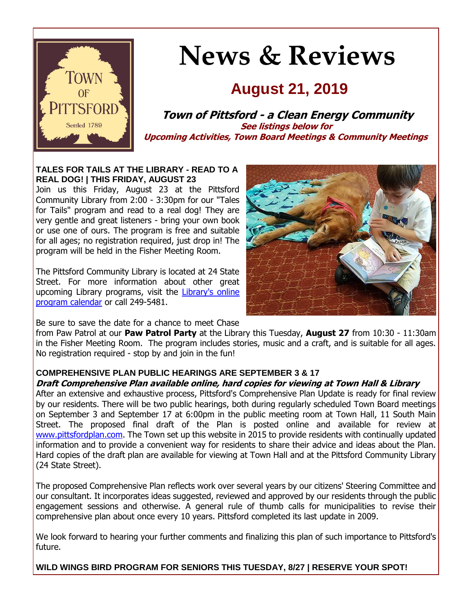

# **News & Reviews**

## **August 21, 2019**

**Town of Pittsford - a Clean Energy Community See listings below for Upcoming Activities, Town Board Meetings & Community Meetings**

#### **TALES FOR TAILS AT THE LIBRARY - READ TO A REAL DOG! | THIS FRIDAY, AUGUST 23**

Join us this Friday, August 23 at the Pittsford Community Library from 2:00 - 3:30pm for our "Tales for Tails" program and read to a real dog! They are very gentle and great listeners - bring your own book or use one of ours. The program is free and suitable for all ages; no registration required, just drop in! The program will be held in the Fisher Meeting Room.

The Pittsford Community Library is located at 24 State Street. For more information about other great upcoming Library programs, visit the [Library's online](http://r20.rs6.net/tn.jsp?f=001YY6ZuHmSUsz-lzGeoSgm37cm_72OB9d9WM1KBvdlLSQYcKplwWpsyI9se9CC_EQHpi0u5wMNC8zZic2r92yx3q5-dUfymCRWXjvLt9yfw42kYRZ-BB3jvEwNKOB_UUyQZn6jWIGXBwpb2up9ma24ZG6Jx4PnJ-dSBoHslPwJHqoJq2HKd7JVeUPgyJLeRNOyLgBrKOA23PHP3S1Nk_M8M010ebq0qgX5gKbxRqN9Z0ZwvhRF-Tszp6AxvNuJVl6Ie4CfPFJ3Nf2ZmGmpwgeRXoRJ35jCBINk8nmtl_40kHCg6FZXl_0WQIG3L3qwZWu9RTMM53LCTU0vgaNUushlSA==&c=JQpb2f6-3O5Dv_B9SBkByAdTAPKxHE-FvqbfZqev0UgXINDXfiLK4g==&ch=xPhr3p3GeQTImjf9-vEIFekHIZOQxMG1SnkHBAQfH08e9nddgn9a7w==)  [program calendar](http://r20.rs6.net/tn.jsp?f=001YY6ZuHmSUsz-lzGeoSgm37cm_72OB9d9WM1KBvdlLSQYcKplwWpsyI9se9CC_EQHpi0u5wMNC8zZic2r92yx3q5-dUfymCRWXjvLt9yfw42kYRZ-BB3jvEwNKOB_UUyQZn6jWIGXBwpb2up9ma24ZG6Jx4PnJ-dSBoHslPwJHqoJq2HKd7JVeUPgyJLeRNOyLgBrKOA23PHP3S1Nk_M8M010ebq0qgX5gKbxRqN9Z0ZwvhRF-Tszp6AxvNuJVl6Ie4CfPFJ3Nf2ZmGmpwgeRXoRJ35jCBINk8nmtl_40kHCg6FZXl_0WQIG3L3qwZWu9RTMM53LCTU0vgaNUushlSA==&c=JQpb2f6-3O5Dv_B9SBkByAdTAPKxHE-FvqbfZqev0UgXINDXfiLK4g==&ch=xPhr3p3GeQTImjf9-vEIFekHIZOQxMG1SnkHBAQfH08e9nddgn9a7w==) or call 249-5481.



Be sure to save the date for a chance to meet Chase

from Paw Patrol at our **Paw Patrol Party** at the Library this Tuesday, **August 27** from 10:30 - 11:30am in the Fisher Meeting Room. The program includes stories, music and a craft, and is suitable for all ages. No registration required - stop by and join in the fun!

#### **COMPREHENSIVE PLAN PUBLIC HEARINGS ARE SEPTEMBER 3 & 17**

#### **Draft Comprehensive Plan available online, hard copies for viewing at Town Hall & Library**

After an extensive and exhaustive process, Pittsford's Comprehensive Plan Update is ready for final review by our residents. There will be two public hearings, both during regularly scheduled Town Board meetings on September 3 and September 17 at 6:00pm in the public meeting room at Town Hall, 11 South Main Street. The proposed final draft of the Plan is posted online and available for review at [www.pittsfordplan.com.](http://r20.rs6.net/tn.jsp?f=001YY6ZuHmSUsz-lzGeoSgm37cm_72OB9d9WM1KBvdlLSQYcKplwWpsyB6B0lr3QvXtbiS5D5IbUxBvyoTUQJSxgqHhU6NSYKGJCI6Arbh--NZ-ZpFh48diQJ7jSY6gQ6TU_5CEL4SoBQYM_pTVxAaz68nWw7KRrZ5aeTB6Wery4NU2gyN4b52PJ32g8GsUwxRwl8R1yKE_ud65L4xVy2jA-pmxpiOMMDOw7vsjDQUeqqCKSW3hK_00dCBEqqk7yEOgaIaWXkE7rrhYBi73QkSD2KgozXrNBFZDQ9oaC36k344=&c=JQpb2f6-3O5Dv_B9SBkByAdTAPKxHE-FvqbfZqev0UgXINDXfiLK4g==&ch=xPhr3p3GeQTImjf9-vEIFekHIZOQxMG1SnkHBAQfH08e9nddgn9a7w==) The Town set up this website in 2015 to provide residents with continually updated information and to provide a convenient way for residents to share their advice and ideas about the Plan. Hard copies of the draft plan are available for viewing at Town Hall and at the Pittsford Community Library (24 State Street).

The proposed Comprehensive Plan reflects work over several years by our citizens' Steering Committee and our consultant. It incorporates ideas suggested, reviewed and approved by our residents through the public engagement sessions and otherwise. A general rule of thumb calls for municipalities to revise their comprehensive plan about once every 10 years. Pittsford completed its last update in 2009.

We look forward to hearing your further comments and finalizing this plan of such importance to Pittsford's future.

**WILD WINGS BIRD PROGRAM FOR SENIORS THIS TUESDAY, 8/27 | RESERVE YOUR SPOT!**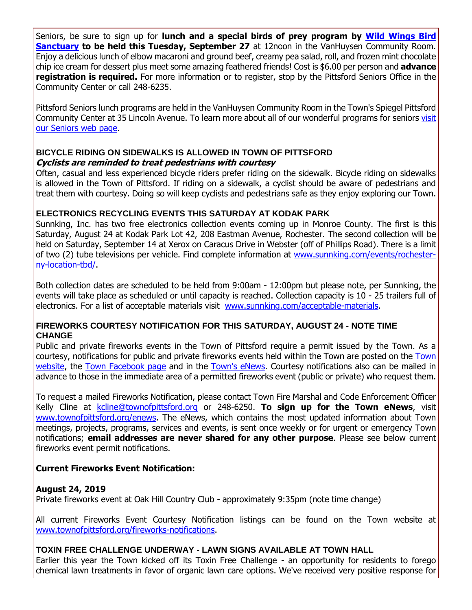Seniors, be sure to sign up for **lunch and a special birds of prey program by [Wild Wings Bird](http://r20.rs6.net/tn.jsp?f=001YY6ZuHmSUsz-lzGeoSgm37cm_72OB9d9WM1KBvdlLSQYcKplwWpsyNLNfYTncUvKPq3HdJoPVB4VeFkjl40WSG3t2J0DsFgyMTTqg9wbj3Eao22STpVhuvEDnvWuT3cjI4g6UDYyDFVSZ8GsytWf5bBxlF7pP8hkpgmTn4SCsgvicv3R64GpCEpl5d1uxKZ3xnWJRhBqpFnfYJ0irRPo9MQoVb7Jyh_6c4S0NqA1yZl74OrhxGf9dRivq_Jq-d84qgvhRjL5T0kw5b6WiJM4nhAwen94l5TjoyoWk0SAM4o=&c=JQpb2f6-3O5Dv_B9SBkByAdTAPKxHE-FvqbfZqev0UgXINDXfiLK4g==&ch=xPhr3p3GeQTImjf9-vEIFekHIZOQxMG1SnkHBAQfH08e9nddgn9a7w==)  [Sanctuary](http://r20.rs6.net/tn.jsp?f=001YY6ZuHmSUsz-lzGeoSgm37cm_72OB9d9WM1KBvdlLSQYcKplwWpsyNLNfYTncUvKPq3HdJoPVB4VeFkjl40WSG3t2J0DsFgyMTTqg9wbj3Eao22STpVhuvEDnvWuT3cjI4g6UDYyDFVSZ8GsytWf5bBxlF7pP8hkpgmTn4SCsgvicv3R64GpCEpl5d1uxKZ3xnWJRhBqpFnfYJ0irRPo9MQoVb7Jyh_6c4S0NqA1yZl74OrhxGf9dRivq_Jq-d84qgvhRjL5T0kw5b6WiJM4nhAwen94l5TjoyoWk0SAM4o=&c=JQpb2f6-3O5Dv_B9SBkByAdTAPKxHE-FvqbfZqev0UgXINDXfiLK4g==&ch=xPhr3p3GeQTImjf9-vEIFekHIZOQxMG1SnkHBAQfH08e9nddgn9a7w==) to be held this Tuesday, September 27** at 12noon in the VanHuysen Community Room. Enjoy a delicious lunch of elbow macaroni and ground beef, creamy pea salad, roll, and frozen mint chocolate chip ice cream for dessert plus meet some amazing feathered friends! Cost is \$6.00 per person and **advance registration is required.** For more information or to register, stop by the Pittsford Seniors Office in the Community Center or call 248-6235.

Pittsford Seniors lunch programs are held in the VanHuysen Community Room in the Town's Spiegel Pittsford Community Center at 35 Lincoln Avenue. To learn more about all of our wonderful programs for seniors [visit](http://r20.rs6.net/tn.jsp?f=001YY6ZuHmSUsz-lzGeoSgm37cm_72OB9d9WM1KBvdlLSQYcKplwWpsyKld3wzUhQaXZw9xGfLvUWhlc2miz3Yv7523Goqp1-_D-ahJloQadF7NRdgDlaDpzL-9b9fdC9rVfE4eIXlCYPUrOMRnSMAlOR5n0mNUvzmqOlau8Nwt_MVePrDc54XNFyt_iG8fwozso4MMr0TMpQ0my0YuDVckjtPII3jx3fVgHRMw6ZQoU4sxPbII-BRO6HGDjlk4mvxXngXSFwUhbpndDJVQqFCIMPDbe5DLe2_Rv2SknVPixkVAKKL2SnZddwxvOWgbwTuI&c=JQpb2f6-3O5Dv_B9SBkByAdTAPKxHE-FvqbfZqev0UgXINDXfiLK4g==&ch=xPhr3p3GeQTImjf9-vEIFekHIZOQxMG1SnkHBAQfH08e9nddgn9a7w==)  [our Seniors web page.](http://r20.rs6.net/tn.jsp?f=001YY6ZuHmSUsz-lzGeoSgm37cm_72OB9d9WM1KBvdlLSQYcKplwWpsyKld3wzUhQaXZw9xGfLvUWhlc2miz3Yv7523Goqp1-_D-ahJloQadF7NRdgDlaDpzL-9b9fdC9rVfE4eIXlCYPUrOMRnSMAlOR5n0mNUvzmqOlau8Nwt_MVePrDc54XNFyt_iG8fwozso4MMr0TMpQ0my0YuDVckjtPII3jx3fVgHRMw6ZQoU4sxPbII-BRO6HGDjlk4mvxXngXSFwUhbpndDJVQqFCIMPDbe5DLe2_Rv2SknVPixkVAKKL2SnZddwxvOWgbwTuI&c=JQpb2f6-3O5Dv_B9SBkByAdTAPKxHE-FvqbfZqev0UgXINDXfiLK4g==&ch=xPhr3p3GeQTImjf9-vEIFekHIZOQxMG1SnkHBAQfH08e9nddgn9a7w==)

#### **BICYCLE RIDING ON SIDEWALKS IS ALLOWED IN TOWN OF PITTSFORD Cyclists are reminded to treat pedestrians with courtesy**

Often, casual and less experienced bicycle riders prefer riding on the sidewalk. Bicycle riding on sidewalks is allowed in the Town of Pittsford. If riding on a sidewalk, a cyclist should be aware of pedestrians and treat them with courtesy. Doing so will keep cyclists and pedestrians safe as they enjoy exploring our Town.

#### **ELECTRONICS RECYCLING EVENTS THIS SATURDAY AT KODAK PARK**

Sunnking, Inc. has two free electronics collection events coming up in Monroe County. The first is this Saturday, August 24 at Kodak Park Lot 42, 208 Eastman Avenue, Rochester. The second collection will be held on Saturday, September 14 at Xerox on Caracus Drive in Webster (off of Phillips Road). There is a limit of two (2) tube televisions per vehicle. Find complete information at [www.sunnking.com/events/rochester](http://r20.rs6.net/tn.jsp?f=001YY6ZuHmSUsz-lzGeoSgm37cm_72OB9d9WM1KBvdlLSQYcKplwWpsyEpDAhr2EEuqScdmJOyriluNNiqkO6ebKpTEwjpvMssSS1BtedNGgg1P92nleVjooD_0oMxpQEXTDw3nvDQIqRg3n_cRJ-ZAB6PPAn1mFs_GnBj-r6AlE9ZeezrppdE1cEwNBW1QcL8LOehkneMhQfglCr0vQm5Ayr99svkq_EhELhqob5yotBUiRYJ2smhbhnooQN51GtJtWAcHxry3WBqhP1tkBwF93-h4R-YbKEw7oLZqAzwmCExpJKHsJtudGUOS0n7bhB4zIgQJKmCuRR9uUijG-PXkPQ==&c=JQpb2f6-3O5Dv_B9SBkByAdTAPKxHE-FvqbfZqev0UgXINDXfiLK4g==&ch=xPhr3p3GeQTImjf9-vEIFekHIZOQxMG1SnkHBAQfH08e9nddgn9a7w==)[ny-location-tbd/.](http://r20.rs6.net/tn.jsp?f=001YY6ZuHmSUsz-lzGeoSgm37cm_72OB9d9WM1KBvdlLSQYcKplwWpsyEpDAhr2EEuqScdmJOyriluNNiqkO6ebKpTEwjpvMssSS1BtedNGgg1P92nleVjooD_0oMxpQEXTDw3nvDQIqRg3n_cRJ-ZAB6PPAn1mFs_GnBj-r6AlE9ZeezrppdE1cEwNBW1QcL8LOehkneMhQfglCr0vQm5Ayr99svkq_EhELhqob5yotBUiRYJ2smhbhnooQN51GtJtWAcHxry3WBqhP1tkBwF93-h4R-YbKEw7oLZqAzwmCExpJKHsJtudGUOS0n7bhB4zIgQJKmCuRR9uUijG-PXkPQ==&c=JQpb2f6-3O5Dv_B9SBkByAdTAPKxHE-FvqbfZqev0UgXINDXfiLK4g==&ch=xPhr3p3GeQTImjf9-vEIFekHIZOQxMG1SnkHBAQfH08e9nddgn9a7w==)

Both collection dates are scheduled to be held from 9:00am - 12:00pm but please note, per Sunnking, the events will take place as scheduled or until capacity is reached. Collection capacity is 10 - 25 trailers full of electronics. For a list of acceptable materials visit [www.sunnking.com/acceptable-materials.](http://r20.rs6.net/tn.jsp?f=001YY6ZuHmSUsz-lzGeoSgm37cm_72OB9d9WM1KBvdlLSQYcKplwWpsyEpDAhr2EEuqKaEJbL28h-zZ25LVq65D3G0y5ZEcPdYW7Q6-2LUnLK1W9-oMWvNH7SLlIbztUPqywBgJCEMLHn75qzSG7vrXB4pt06knt_h3cNubzp6D_dUKfdd-dmNOnAqt5J3qyyXVm6nZNJEgJmOii8P5cgYMkvStFM_jEcTohmIJPzdRofjQGzgguwK1f_xWMvzq-6eiaG8WrlsvUn8-hDAn4sTLEmUTEilibakPr43WHSLqAeeiW1lLVIzBPg87ObbSsyuP&c=JQpb2f6-3O5Dv_B9SBkByAdTAPKxHE-FvqbfZqev0UgXINDXfiLK4g==&ch=xPhr3p3GeQTImjf9-vEIFekHIZOQxMG1SnkHBAQfH08e9nddgn9a7w==)

#### **FIREWORKS COURTESY NOTIFICATION FOR THIS SATURDAY, AUGUST 24 - NOTE TIME CHANGE**

Public and private fireworks events in the Town of Pittsford require a permit issued by the Town. As a courtesy, notifications for public and private fireworks events held within the Town are posted on the [Town](http://r20.rs6.net/tn.jsp?f=001YY6ZuHmSUsz-lzGeoSgm37cm_72OB9d9WM1KBvdlLSQYcKplwWpsyGtNYAjtQkLGtpqEL-hOkxZL1xsia3JEiKKH_w6BQS0vGQMPtk9N6aO4xgOwJQ0_0Hh35IbO7rqtDVEJSvcYo6j61UZ1MFtgNw_QFQ-FNi060aEQfJzcWc_T7_HfI_htMD0YGMWCwhsvLDrSFRLM7Xe7GdzLEKXBp77WHfGt2eD-8CFg73um4Y0fK-CdreTkpPk8cThS12f6G0464FZSksG2-Zg065uUYBM3F9_JMS6k5-CurpEDHINWfOmCFvyxJbULKVuf7D4UyelOJdOTYgQ=&c=JQpb2f6-3O5Dv_B9SBkByAdTAPKxHE-FvqbfZqev0UgXINDXfiLK4g==&ch=xPhr3p3GeQTImjf9-vEIFekHIZOQxMG1SnkHBAQfH08e9nddgn9a7w==)  [website,](http://r20.rs6.net/tn.jsp?f=001YY6ZuHmSUsz-lzGeoSgm37cm_72OB9d9WM1KBvdlLSQYcKplwWpsyGtNYAjtQkLGtpqEL-hOkxZL1xsia3JEiKKH_w6BQS0vGQMPtk9N6aO4xgOwJQ0_0Hh35IbO7rqtDVEJSvcYo6j61UZ1MFtgNw_QFQ-FNi060aEQfJzcWc_T7_HfI_htMD0YGMWCwhsvLDrSFRLM7Xe7GdzLEKXBp77WHfGt2eD-8CFg73um4Y0fK-CdreTkpPk8cThS12f6G0464FZSksG2-Zg065uUYBM3F9_JMS6k5-CurpEDHINWfOmCFvyxJbULKVuf7D4UyelOJdOTYgQ=&c=JQpb2f6-3O5Dv_B9SBkByAdTAPKxHE-FvqbfZqev0UgXINDXfiLK4g==&ch=xPhr3p3GeQTImjf9-vEIFekHIZOQxMG1SnkHBAQfH08e9nddgn9a7w==) the [Town Facebook page](http://r20.rs6.net/tn.jsp?f=001YY6ZuHmSUsz-lzGeoSgm37cm_72OB9d9WM1KBvdlLSQYcKplwWpsyJKdCp1tk86tP6XXkzKlhVNRJ0hh_3qPtERPYo9u2OUjtfr5ruLOXsHRdBRJxVpiEpt2AgK9il7aL7Wkne_ztCvCnEFdEw2lDDFC29F2iabmdq0EeBmJXWaciSh3K43Zm_eSOeqnYS6oYXHMcMnCpHF1nJGbnUDONnremKwIeu4m&c=JQpb2f6-3O5Dv_B9SBkByAdTAPKxHE-FvqbfZqev0UgXINDXfiLK4g==&ch=xPhr3p3GeQTImjf9-vEIFekHIZOQxMG1SnkHBAQfH08e9nddgn9a7w==) and in the [Town's eNews.](http://r20.rs6.net/tn.jsp?f=001YY6ZuHmSUsz-lzGeoSgm37cm_72OB9d9WM1KBvdlLSQYcKplwWpsyJKdCp1tk86tcVOB7fddti3kdeaUVizQGzqA6fq_TmX9ac_GrqDhg7RCLijfgpJuX2qvGBMj8K4KKZ3XBkuD9Hya3VFkJlsi1wptMZgVyso2Ao5XsO2OWmB1zeYsDnZPZy9FDS2h7F_q44ayFqIDVKt8ujrRlIn0Ox7pj6wVGDbguV3nUKu32LHFAL4_E_Bm4MnjDQpr9Ce8ycTWwv-KatpHZi4sHat5r-I4U0MTPuNsnL3jjw8C5QGsLRmBfDvZ1g==&c=JQpb2f6-3O5Dv_B9SBkByAdTAPKxHE-FvqbfZqev0UgXINDXfiLK4g==&ch=xPhr3p3GeQTImjf9-vEIFekHIZOQxMG1SnkHBAQfH08e9nddgn9a7w==) Courtesy notifications also can be mailed in advance to those in the immediate area of a permitted fireworks event (public or private) who request them.

To request a mailed Fireworks Notification, please contact Town Fire Marshal and Code Enforcement Officer Kelly Cline at [kcline@townofpittsford.org](mailto:kcline@townofpittsford.or?subject=Town%20Fireworks%20Courtesy%20Notification) or 248-6250. **To sign up for the Town eNews**, visit [www.townofpittsford.org/enews.](http://r20.rs6.net/tn.jsp?f=001YY6ZuHmSUsz-lzGeoSgm37cm_72OB9d9WM1KBvdlLSQYcKplwWpsyJKdCp1tk86tcVOB7fddti3kdeaUVizQGzqA6fq_TmX9ac_GrqDhg7RCLijfgpJuX2qvGBMj8K4KKZ3XBkuD9Hya3VFkJlsi1wptMZgVyso2Ao5XsO2OWmB1zeYsDnZPZy9FDS2h7F_q44ayFqIDVKt8ujrRlIn0Ox7pj6wVGDbguV3nUKu32LHFAL4_E_Bm4MnjDQpr9Ce8ycTWwv-KatpHZi4sHat5r-I4U0MTPuNsnL3jjw8C5QGsLRmBfDvZ1g==&c=JQpb2f6-3O5Dv_B9SBkByAdTAPKxHE-FvqbfZqev0UgXINDXfiLK4g==&ch=xPhr3p3GeQTImjf9-vEIFekHIZOQxMG1SnkHBAQfH08e9nddgn9a7w==) The eNews, which contains the most updated information about Town meetings, projects, programs, services and events, is sent once weekly or for urgent or emergency Town notifications; **email addresses are never shared for any other purpose**. Please see below current fireworks event permit notifications.

#### **Current Fireworks Event Notification:**

#### **August 24, 2019**

Private fireworks event at Oak Hill Country Club - approximately 9:35pm (note time change)

All current Fireworks Event Courtesy Notification listings can be found on the Town website at [www.townofpittsford.org/fireworks-notifications.](http://r20.rs6.net/tn.jsp?f=001YY6ZuHmSUsz-lzGeoSgm37cm_72OB9d9WM1KBvdlLSQYcKplwWpsyGtNYAjtQkLGtpqEL-hOkxZL1xsia3JEiKKH_w6BQS0vGQMPtk9N6aO4xgOwJQ0_0Hh35IbO7rqtDVEJSvcYo6j61UZ1MFtgNw_QFQ-FNi060aEQfJzcWc_T7_HfI_htMD0YGMWCwhsvLDrSFRLM7Xe7GdzLEKXBp77WHfGt2eD-8CFg73um4Y0fK-CdreTkpPk8cThS12f6G0464FZSksG2-Zg065uUYBM3F9_JMS6k5-CurpEDHINWfOmCFvyxJbULKVuf7D4UyelOJdOTYgQ=&c=JQpb2f6-3O5Dv_B9SBkByAdTAPKxHE-FvqbfZqev0UgXINDXfiLK4g==&ch=xPhr3p3GeQTImjf9-vEIFekHIZOQxMG1SnkHBAQfH08e9nddgn9a7w==)

#### **TOXIN FREE CHALLENGE UNDERWAY - LAWN SIGNS AVAILABLE AT TOWN HALL**

Earlier this year the Town kicked off its Toxin Free Challenge - an opportunity for residents to forego chemical lawn treatments in favor of organic lawn care options. We've received very positive response for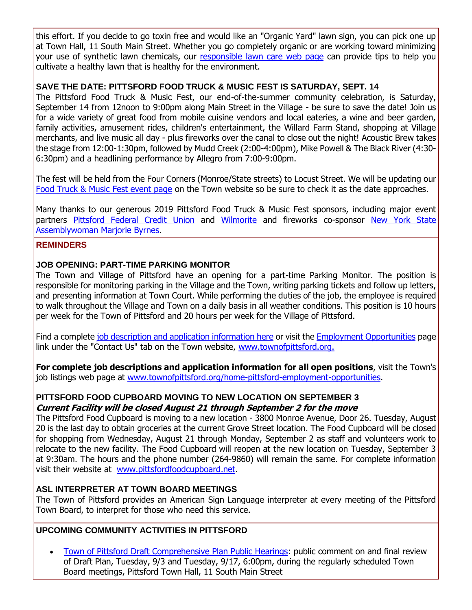this effort. If you decide to go toxin free and would like an "Organic Yard" lawn sign, you can pick one up at Town Hall, 11 South Main Street. Whether you go completely organic or are working toward minimizing your use of synthetic lawn chemicals, our [responsible lawn care web page](http://r20.rs6.net/tn.jsp?f=001YY6ZuHmSUsz-lzGeoSgm37cm_72OB9d9WM1KBvdlLSQYcKplwWpsyLl8o1xCtRVNFHL8Sorql_Iz8jL3O4BB8mUEsVwZAxka6-dSea6Zp4Zrv3JQwUBlpKmWv47WuIPFlci7srDJfADc4qa3Yd1qPNZjZp2xpltgOiBP6_6m5ykm7cCMbx9LzG3gyOyncwsXEn7uaEs62Sam1tCGVIpJc-p-vW3g811tVT5AtVCCk2eu1Yz4RDWRA1NVE7pFjDFz9xuU4DurpWkY6H5cQRCixQVdD9JLvGuAJSuySQUdvwYxRHihKT0Wyv_mt4o0BFQh&c=JQpb2f6-3O5Dv_B9SBkByAdTAPKxHE-FvqbfZqev0UgXINDXfiLK4g==&ch=xPhr3p3GeQTImjf9-vEIFekHIZOQxMG1SnkHBAQfH08e9nddgn9a7w==) can provide tips to help you cultivate a healthy lawn that is healthy for the environment.

#### **SAVE THE DATE: PITTSFORD FOOD TRUCK & MUSIC FEST IS SATURDAY, SEPT. 14**

The Pittsford Food Truck & Music Fest, our end-of-the-summer community celebration, is Saturday, September 14 from 12noon to 9:00pm along Main Street in the Village - be sure to save the date! Join us for a wide variety of great food from mobile cuisine vendors and local eateries, a wine and beer garden, family activities, amusement rides, children's entertainment, the Willard Farm Stand, shopping at Village merchants, and live music all day - plus fireworks over the canal to close out the night! Acoustic Brew takes the stage from 12:00-1:30pm, followed by Mudd Creek (2:00-4:00pm), Mike Powell & The Black River (4:30- 6:30pm) and a headlining performance by Allegro from 7:00-9:00pm.

The fest will be held from the Four Corners (Monroe/State streets) to Locust Street. We will be updating our [Food Truck & Music Fest event page](http://r20.rs6.net/tn.jsp?f=001YY6ZuHmSUsz-lzGeoSgm37cm_72OB9d9WM1KBvdlLSQYcKplwWpsyOAcLK2-Nl_nZ_hb0u3-qa6v81l5ukCOGubM_TGY5wGXb220Y5OsCnSyujv4WPoxfjjtqPQFLA5_REOkm7usznLeDkVDzdGOhB9WEM1tlYT3S5db4BSDJ4O2_KgZfMJsZwsq7iZCsl4CVPfpM1PFwVjK4CKWbmAYlCiwcZwd8HS4rrONjR-vgBkwKGwjglxVyOzbg9ZD_dn-1yK6CLCLkQ1V7wrtslAU3psYTcMpnJr2rf1ElM2anxCQYFqFNWm3JQ8XIpqUsJ1i&c=JQpb2f6-3O5Dv_B9SBkByAdTAPKxHE-FvqbfZqev0UgXINDXfiLK4g==&ch=xPhr3p3GeQTImjf9-vEIFekHIZOQxMG1SnkHBAQfH08e9nddgn9a7w==) on the Town website so be sure to check it as the date approaches.

Many thanks to our generous 2019 Pittsford Food Truck & Music Fest sponsors, including major event partners [Pittsford Federal Credit Union](http://r20.rs6.net/tn.jsp?f=001YY6ZuHmSUsz-lzGeoSgm37cm_72OB9d9WM1KBvdlLSQYcKplwWpsyL2KhAXGfZcYkLqk8C0zIjnsxiUbSwayFcKLmHGNJHxY7fIGyc1ups7jd5S8XsOKYhaDzNBIViFPfRt6kuWEWgs7_h3cwkf377LeWb76thkBv8Q-Uj2y1pl_s7K0IA8MYCIRKLzLwVLP7-WKwdB2M1lFCIzZRHF4K3MQd8W5zf3ZgrZHKWLux_pv5u_afDD_WpURn_Y3-1Xkwe7rcK371KWsBHn3QTo1CS_MyNQHjrTvczCk603Ayr4=&c=JQpb2f6-3O5Dv_B9SBkByAdTAPKxHE-FvqbfZqev0UgXINDXfiLK4g==&ch=xPhr3p3GeQTImjf9-vEIFekHIZOQxMG1SnkHBAQfH08e9nddgn9a7w==) and [Wilmorite](http://r20.rs6.net/tn.jsp?f=001YY6ZuHmSUsz-lzGeoSgm37cm_72OB9d9WM1KBvdlLSQYcKplwWpsyL2KhAXGfZcYuvpPlRYIfOMiFKiBAYsDikgmYhrjd2-U9LLnA4_wHGoCRvEweNYAoQWFchEeOPXCzuLwe9_YDqT8Xo9AC903EuQAF8Ta6ARHR9SNbWSKyc-QZx7boAeaPgp0goXNSjXkVyT7A_aCEImiSC_OZ7jNLPLea_p8w1QyXl1_GAsivXmFybTFTYX93Far_gj6LtXBpsUj8i5ZV5JB5L5KN_0vbxVKqxtBoQQL&c=JQpb2f6-3O5Dv_B9SBkByAdTAPKxHE-FvqbfZqev0UgXINDXfiLK4g==&ch=xPhr3p3GeQTImjf9-vEIFekHIZOQxMG1SnkHBAQfH08e9nddgn9a7w==) and fireworks co-sponsor New York State [Assemblywoman Marjorie Byrnes.](http://r20.rs6.net/tn.jsp?f=001YY6ZuHmSUsz-lzGeoSgm37cm_72OB9d9WM1KBvdlLSQYcKplwWpsyLl8o1xCtRVNhmcpeSLC9JJgS07wRjqmCzSnc-ppQ9BNwY-wHdkM8q47TcKs9Jgz_RvoE57ngqhPDpiFdRLWZtM60Q3qsbs5L3oSOOH0qG2IJAx362gxEmyyL8D6GFoVvgmUbzYeouieBzQaumxSqCJHHT1ZY2D0ApgDflKdmWnQQeDo3CI9IgH7es8onaL3yOVgCCiQ8ujFuHPZKZPJ7gJ_Ya6QWlSZsx9REyInS475wqcPTujP_QFS1udrjrGeQRN4fEn-ck_v&c=JQpb2f6-3O5Dv_B9SBkByAdTAPKxHE-FvqbfZqev0UgXINDXfiLK4g==&ch=xPhr3p3GeQTImjf9-vEIFekHIZOQxMG1SnkHBAQfH08e9nddgn9a7w==)

#### **REMINDERS**

#### **JOB OPENING: PART-TIME PARKING MONITOR**

The Town and Village of Pittsford have an opening for a part-time Parking Monitor. The position is responsible for monitoring parking in the Village and the Town, writing parking tickets and follow up letters, and presenting information at Town Court. While performing the duties of the job, the employee is required to walk throughout the Village and Town on a daily basis in all weather conditions. This position is 10 hours per week for the Town of Pittsford and 20 hours per week for the Village of Pittsford.

Find a complete [job description and application information here](http://r20.rs6.net/tn.jsp?f=001YY6ZuHmSUsz-lzGeoSgm37cm_72OB9d9WM1KBvdlLSQYcKplwWpsyGI087PlS63MafcVt1xX_j2EKOpCqwpy0irGCWOLWMj36G4umQem83y6aJGmek1OcFawx1xqWnFBJQsSHnfXHSFjWoRPv2hGRjNd-1Lxfp3ComC4RW4_UwRZC-sFhUyEZFXQJyKCueqhNj8dPYSvMyAxBjlyb8QI5QmWJP7CVrxBHEbLNpzo9tKnZQR_unqUbfodCntj13k4hhMte4YAhbOFcfocPy040KrXFvT_jW5mGV6hGJjWYFo5dK6a8BfnBGXrHQyChTIEiCcKCIpTe0_hrDbji5pSnw_zUtASux1BKnHYHslmikml14_AQc7T6P9B0j4oHenld69X-CoAVoOVudOKqm9rzA==&c=JQpb2f6-3O5Dv_B9SBkByAdTAPKxHE-FvqbfZqev0UgXINDXfiLK4g==&ch=xPhr3p3GeQTImjf9-vEIFekHIZOQxMG1SnkHBAQfH08e9nddgn9a7w==) or visit the [Employment Opportunities](http://r20.rs6.net/tn.jsp?f=001YY6ZuHmSUsz-lzGeoSgm37cm_72OB9d9WM1KBvdlLSQYcKplwWpsyMiguc3I4wXDqkif5Dg9aveIt1JngI1NVue_9WxhFOF0h3Gck6jnHbm4wiU01DmYeXKlxx32y-OAWV1Wsy3S-KOLAMzqsVxhcCI1d9jasbztFng5JgTRAzq-1vDJmWlmaNZXIAKCnOSxSy1j-wXp9zkfATFMlhM8JmACB_Kz2mK9Q_XW-INFi8OpI7fRJq92q-Xmb73cwddaFcSmPDJwpkwZkxlqfMksKsT21vLH0xjZwbOa3o4_a--FAcXHAhZXDODDdmLg-4rr78YctGq0B1vj7Psho6lR3DvPBHYCTlkZ&c=JQpb2f6-3O5Dv_B9SBkByAdTAPKxHE-FvqbfZqev0UgXINDXfiLK4g==&ch=xPhr3p3GeQTImjf9-vEIFekHIZOQxMG1SnkHBAQfH08e9nddgn9a7w==) page link under the "Contact Us" tab on the Town website, [www.townofpittsford.org.](http://r20.rs6.net/tn.jsp?f=001YY6ZuHmSUsz-lzGeoSgm37cm_72OB9d9WM1KBvdlLSQYcKplwWpsyBJ9bzdfiCZbX6We26ZhUJvXCiScUZG1_Pn6mSZ2-IXr9-1KVRwF_rH9_pS7E7K09yww-Sd9TYnPZGcGxTH-1TRnoHwFXw7nWD474fNToc0z-4aquyar2SD3yBqv5EitjBr5uidUQv3s15N8F-LYxXAkacgpQDDMF_q7oqyxAOqk39bubPSDADQUMrhmJAlvzpqXwNjXvSq4Rh769_dOdbM1Oeg6JzO0PyFYQx3X3fAnwpdKiq1tlNo=&c=JQpb2f6-3O5Dv_B9SBkByAdTAPKxHE-FvqbfZqev0UgXINDXfiLK4g==&ch=xPhr3p3GeQTImjf9-vEIFekHIZOQxMG1SnkHBAQfH08e9nddgn9a7w==)

**For complete job descriptions and application information for all open positions**, visit the Town's job listings web page at [www.townofpittsford.org/home-pittsford-employment-opportunities.](http://r20.rs6.net/tn.jsp?f=001YY6ZuHmSUsz-lzGeoSgm37cm_72OB9d9WM1KBvdlLSQYcKplwWpsyMiguc3I4wXDqkif5Dg9aveIt1JngI1NVue_9WxhFOF0h3Gck6jnHbm4wiU01DmYeXKlxx32y-OAWV1Wsy3S-KOLAMzqsVxhcCI1d9jasbztFng5JgTRAzq-1vDJmWlmaNZXIAKCnOSxSy1j-wXp9zkfATFMlhM8JmACB_Kz2mK9Q_XW-INFi8OpI7fRJq92q-Xmb73cwddaFcSmPDJwpkwZkxlqfMksKsT21vLH0xjZwbOa3o4_a--FAcXHAhZXDODDdmLg-4rr78YctGq0B1vj7Psho6lR3DvPBHYCTlkZ&c=JQpb2f6-3O5Dv_B9SBkByAdTAPKxHE-FvqbfZqev0UgXINDXfiLK4g==&ch=xPhr3p3GeQTImjf9-vEIFekHIZOQxMG1SnkHBAQfH08e9nddgn9a7w==)

#### **PITTSFORD FOOD CUPBOARD MOVING TO NEW LOCATION ON SEPTEMBER 3 Current Facility will be closed August 21 through September 2 for the move**

The Pittsford Food Cupboard is moving to a new location - 3800 Monroe Avenue, Door 26. Tuesday, August 20 is the last day to obtain groceries at the current Grove Street location. The Food Cupboard will be closed for shopping from Wednesday, August 21 through Monday, September 2 as staff and volunteers work to relocate to the new facility. The Food Cupboard will reopen at the new location on Tuesday, September 3 at 9:30am. The hours and the phone number (264-9860) will remain the same. For complete information visit their website at [www.pittsfordfoodcupboard.net.](http://r20.rs6.net/tn.jsp?f=001YY6ZuHmSUsz-lzGeoSgm37cm_72OB9d9WM1KBvdlLSQYcKplwWpsyI9se9CC_EQHKXhof1U7FrBIEzvjq767S57-IaZVlbdDHbofUH_Q6xpV-gt7xYcPZRfsmUWP5oRf9PXuog_5OHt08yqVX_TiFlaRAlu3F6HOobEO9vRQI9vrkBCTVrKsTdvmd8S_my37wNrn5vxWliXsu7Jy-l_x1hOHXrcGVa6TbXTp9GJRzlk25Gb35YAtMN7Ffmj4x3_Sd18uv3RuqscQ5tyyWq-EomxT8xpRW-arYEZBQDWGBhchaCJt3hkqMA==&c=JQpb2f6-3O5Dv_B9SBkByAdTAPKxHE-FvqbfZqev0UgXINDXfiLK4g==&ch=xPhr3p3GeQTImjf9-vEIFekHIZOQxMG1SnkHBAQfH08e9nddgn9a7w==)

#### **ASL INTERPRETER AT TOWN BOARD MEETINGS**

The Town of Pittsford provides an American Sign Language interpreter at every meeting of the Pittsford Town Board, to interpret for those who need this service.

#### **UPCOMING COMMUNITY ACTIVITIES IN PITTSFORD**

 [Town of Pittsford Draft Comprehensive Plan Public Hearings:](http://r20.rs6.net/tn.jsp?f=001YY6ZuHmSUsz-lzGeoSgm37cm_72OB9d9WM1KBvdlLSQYcKplwWpsyLl8o1xCtRVNKk0kYWvL-KpFAjHLQ0987ou4WXj7d7Rch1xLBEgor4ukfgAcWdWrUfXXf8znBCBdeZBoS3WHaM-HxlA5ippRj991Vvzsy1vvw73pOjy_imldnSkPVsm2QCQ0zP-HC6gcOlShcojzRvqBFxb-Fyau-_kJCxaSBCQgK8TD-Ccwzer9McBD5TcfaF-2QaafwAnBxalnaqu6gxCoomlkCIjuX8JpVOGJLie8yuPuTbqN6bc0SOTXf90yuw4sS7l5pa8A&c=JQpb2f6-3O5Dv_B9SBkByAdTAPKxHE-FvqbfZqev0UgXINDXfiLK4g==&ch=xPhr3p3GeQTImjf9-vEIFekHIZOQxMG1SnkHBAQfH08e9nddgn9a7w==) public comment on and final review of Draft Plan, Tuesday, 9/3 and Tuesday, 9/17, 6:00pm, during the regularly scheduled Town Board meetings, Pittsford Town Hall, 11 South Main Street